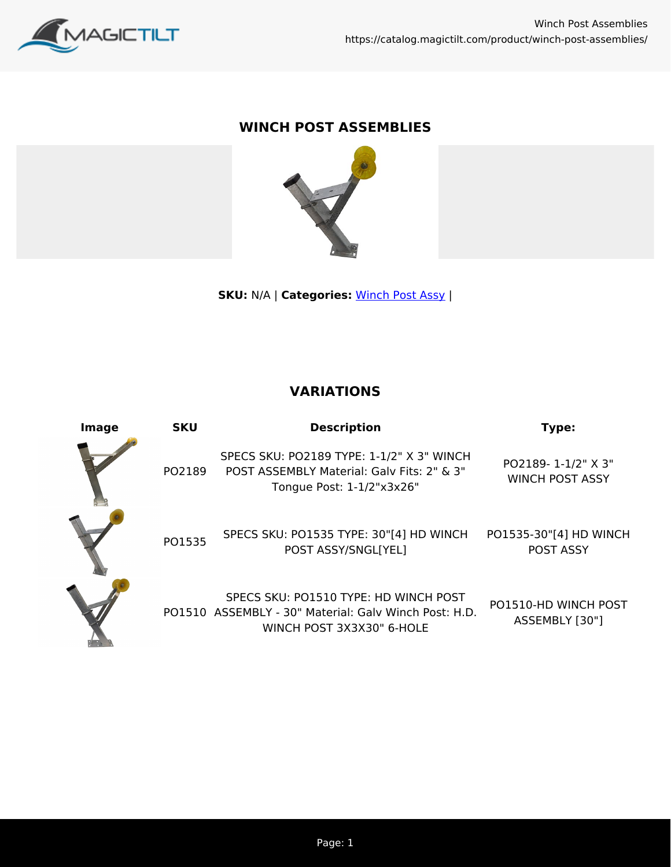

## **WINCH POST ASSEMBLIES**



**SKU:** N/A | **Categories:** [Winch Post Assy](https://catalog.magictilt.com/product-category/winch-post-winches/winch-post-assy/) |

## **VARIATIONS**

| Image | <b>SKU</b> | <b>Description</b>                                                                                                          | Type:                                        |
|-------|------------|-----------------------------------------------------------------------------------------------------------------------------|----------------------------------------------|
|       | PO2189     | SPECS SKU: PO2189 TYPE: 1-1/2" X 3" WINCH<br>POST ASSEMBLY Material: Galy Fits: 2" & 3"<br>Tongue Post: 1-1/2"x3x26"        | PO2189-1-1/2" X 3"<br><b>WINCH POST ASSY</b> |
|       | PO1535     | SPECS SKU: PO1535 TYPE: 30"[4] HD WINCH<br>POST ASSY/SNGL[YEL]                                                              | PO1535-30"[4] HD WINCH<br><b>POST ASSY</b>   |
|       |            | SPECS SKU: PO1510 TYPE: HD WINCH POST<br>PO1510 ASSEMBLY - 30" Material: Galy Winch Post: H.D.<br>WINCH POST 3X3X30" 6-HOLE | PO1510-HD WINCH POST<br>ASSEMBLY [30"]       |